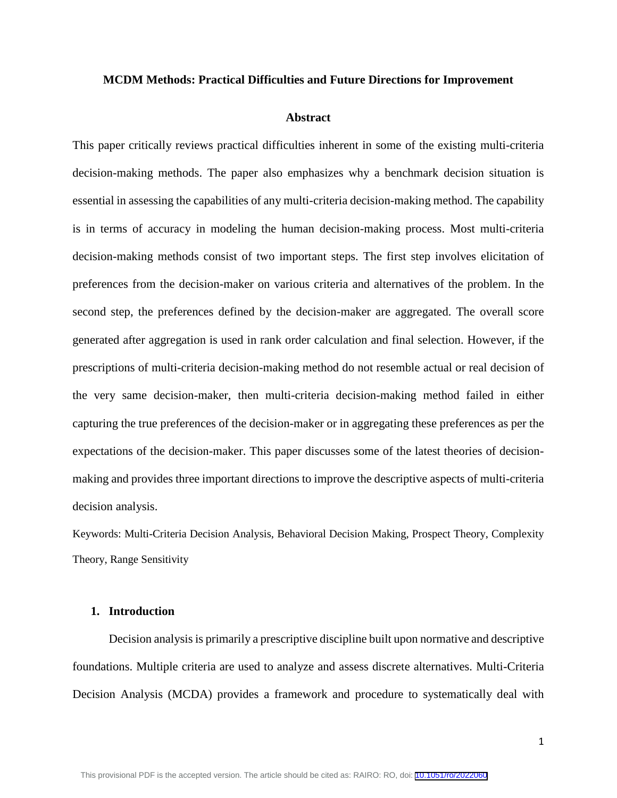#### **MCDM Methods: Practical Difficulties and Future Directions for Improvement**

#### **Abstract**

This paper critically reviews practical difficulties inherent in some of the existing multi-criteria decision-making methods. The paper also emphasizes why a benchmark decision situation is essential in assessing the capabilities of any multi-criteria decision-making method. The capability is in terms of accuracy in modeling the human decision-making process. Most multi-criteria decision-making methods consist of two important steps. The first step involves elicitation of preferences from the decision-maker on various criteria and alternatives of the problem. In the second step, the preferences defined by the decision-maker are aggregated. The overall score generated after aggregation is used in rank order calculation and final selection. However, if the prescriptions of multi-criteria decision-making method do not resemble actual or real decision of the very same decision-maker, then multi-criteria decision-making method failed in either capturing the true preferences of the decision-maker or in aggregating these preferences as per the expectations of the decision-maker. This paper discusses some of the latest theories of decisionmaking and provides three important directions to improve the descriptive aspects of multi-criteria decision analysis.

Keywords: Multi-Criteria Decision Analysis, Behavioral Decision Making, Prospect Theory, Complexity Theory, Range Sensitivity

#### **1. Introduction**

Decision analysis is primarily a prescriptive discipline built upon normative and descriptive foundations. Multiple criteria are used to analyze and assess discrete alternatives. Multi-Criteria Decision Analysis (MCDA) provides a framework and procedure to systematically deal with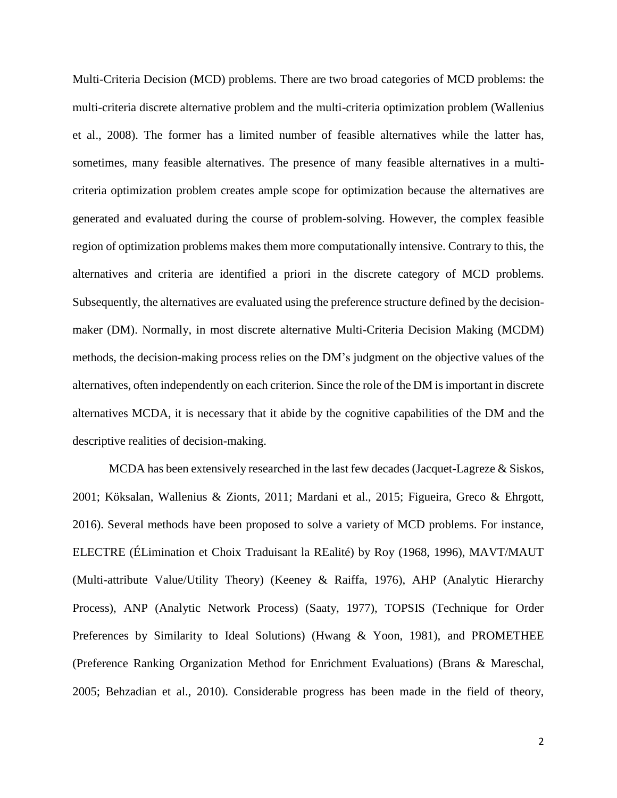Multi-Criteria Decision (MCD) problems. There are two broad categories of MCD problems: the multi-criteria discrete alternative problem and the multi-criteria optimization problem (Wallenius et al., 2008). The former has a limited number of feasible alternatives while the latter has, sometimes, many feasible alternatives. The presence of many feasible alternatives in a multicriteria optimization problem creates ample scope for optimization because the alternatives are generated and evaluated during the course of problem-solving. However, the complex feasible region of optimization problems makes them more computationally intensive. Contrary to this, the alternatives and criteria are identified a priori in the discrete category of MCD problems. Subsequently, the alternatives are evaluated using the preference structure defined by the decisionmaker (DM). Normally, in most discrete alternative Multi-Criteria Decision Making (MCDM) methods, the decision-making process relies on the DM's judgment on the objective values of the alternatives, often independently on each criterion. Since the role of the DM is important in discrete alternatives MCDA, it is necessary that it abide by the cognitive capabilities of the DM and the descriptive realities of decision-making.

MCDA has been extensively researched in the last few decades (Jacquet-Lagreze  $\&$  Siskos, 2001; Köksalan, Wallenius & Zionts, 2011; Mardani et al., 2015; Figueira, Greco & Ehrgott, 2016). Several methods have been proposed to solve a variety of MCD problems. For instance, ELECTRE (ÉLimination et Choix Traduisant la REalité) by Roy (1968, 1996), MAVT/MAUT (Multi-attribute Value/Utility Theory) (Keeney & Raiffa, 1976), AHP (Analytic Hierarchy Process), ANP (Analytic Network Process) (Saaty, 1977), TOPSIS (Technique for Order Preferences by Similarity to Ideal Solutions) (Hwang & Yoon, 1981), and PROMETHEE (Preference Ranking Organization Method for Enrichment Evaluations) (Brans & Mareschal, 2005; Behzadian et al., 2010). Considerable progress has been made in the field of theory,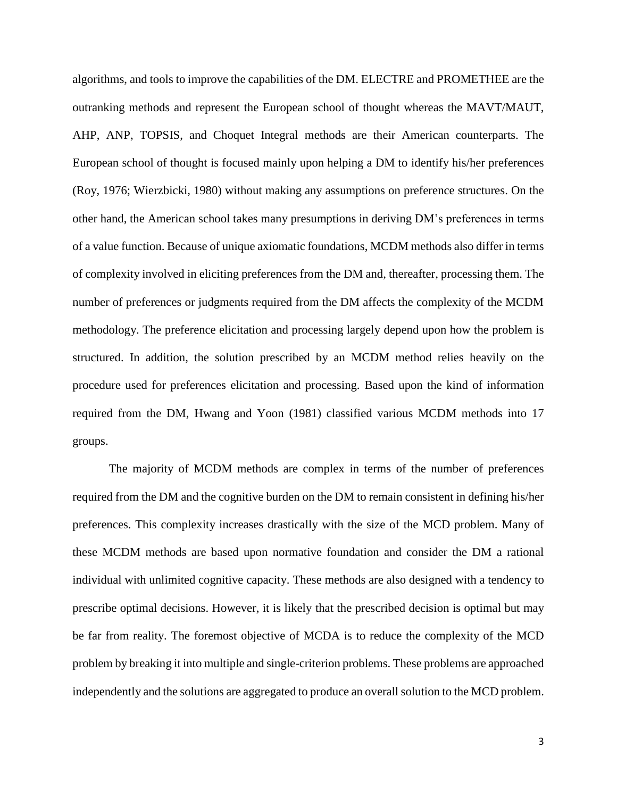algorithms, and tools to improve the capabilities of the DM. ELECTRE and PROMETHEE are the outranking methods and represent the European school of thought whereas the MAVT/MAUT, AHP, ANP, TOPSIS, and Choquet Integral methods are their American counterparts. The European school of thought is focused mainly upon helping a DM to identify his/her preferences (Roy, 1976; Wierzbicki, 1980) without making any assumptions on preference structures. On the other hand, the American school takes many presumptions in deriving DM's preferences in terms of a value function. Because of unique axiomatic foundations, MCDM methods also differ in terms of complexity involved in eliciting preferences from the DM and, thereafter, processing them. The number of preferences or judgments required from the DM affects the complexity of the MCDM methodology. The preference elicitation and processing largely depend upon how the problem is structured. In addition, the solution prescribed by an MCDM method relies heavily on the procedure used for preferences elicitation and processing. Based upon the kind of information required from the DM, Hwang and Yoon (1981) classified various MCDM methods into 17 groups.

The majority of MCDM methods are complex in terms of the number of preferences required from the DM and the cognitive burden on the DM to remain consistent in defining his/her preferences. This complexity increases drastically with the size of the MCD problem. Many of these MCDM methods are based upon normative foundation and consider the DM a rational individual with unlimited cognitive capacity. These methods are also designed with a tendency to prescribe optimal decisions. However, it is likely that the prescribed decision is optimal but may be far from reality. The foremost objective of MCDA is to reduce the complexity of the MCD problem by breaking it into multiple and single-criterion problems. These problems are approached independently and the solutions are aggregated to produce an overall solution to the MCD problem.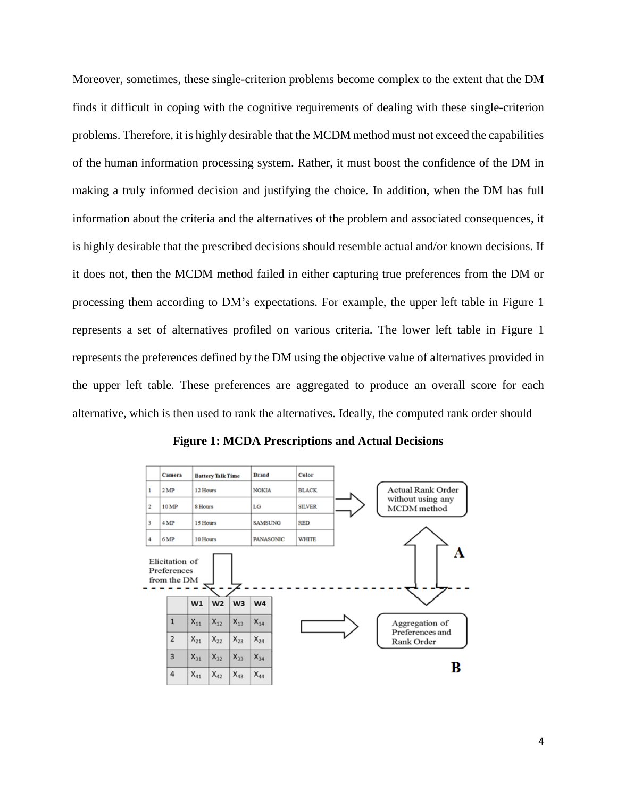Moreover, sometimes, these single-criterion problems become complex to the extent that the DM finds it difficult in coping with the cognitive requirements of dealing with these single-criterion problems. Therefore, it is highly desirable that the MCDM method must not exceed the capabilities of the human information processing system. Rather, it must boost the confidence of the DM in making a truly informed decision and justifying the choice. In addition, when the DM has full information about the criteria and the alternatives of the problem and associated consequences, it is highly desirable that the prescribed decisions should resemble actual and/or known decisions. If it does not, then the MCDM method failed in either capturing true preferences from the DM or processing them according to DM's expectations. For example, the upper left table in Figure 1 represents a set of alternatives profiled on various criteria. The lower left table in Figure 1 represents the preferences defined by the DM using the objective value of alternatives provided in the upper left table. These preferences are aggregated to produce an overall score for each alternative, which is then used to rank the alternatives. Ideally, the computed rank order should



**Figure 1: MCDA Prescriptions and Actual Decisions**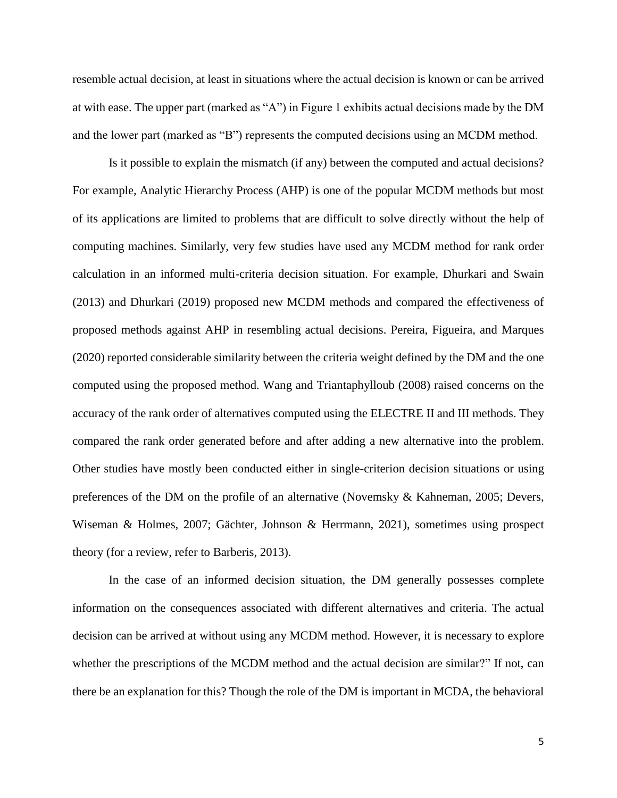resemble actual decision, at least in situations where the actual decision is known or can be arrived at with ease. The upper part (marked as "A") in Figure 1 exhibits actual decisions made by the DM and the lower part (marked as "B") represents the computed decisions using an MCDM method.

Is it possible to explain the mismatch (if any) between the computed and actual decisions? For example, Analytic Hierarchy Process (AHP) is one of the popular MCDM methods but most of its applications are limited to problems that are difficult to solve directly without the help of computing machines. Similarly, very few studies have used any MCDM method for rank order calculation in an informed multi-criteria decision situation. For example, Dhurkari and Swain (2013) and Dhurkari (2019) proposed new MCDM methods and compared the effectiveness of proposed methods against AHP in resembling actual decisions. Pereira, Figueira, and Marques (2020) reported considerable similarity between the criteria weight defined by the DM and the one computed using the proposed method. Wang and Triantaphylloub (2008) raised concerns on the accuracy of the rank order of alternatives computed using the ELECTRE II and III methods. They compared the rank order generated before and after adding a new alternative into the problem. Other studies have mostly been conducted either in single-criterion decision situations or using preferences of the DM on the profile of an alternative (Novemsky & Kahneman, 2005; Devers, Wiseman & Holmes, 2007; Gächter, Johnson & Herrmann, 2021), sometimes using prospect theory (for a review, refer to Barberis, 2013).

In the case of an informed decision situation, the DM generally possesses complete information on the consequences associated with different alternatives and criteria. The actual decision can be arrived at without using any MCDM method. However, it is necessary to explore whether the prescriptions of the MCDM method and the actual decision are similar?" If not, can there be an explanation for this? Though the role of the DM is important in MCDA, the behavioral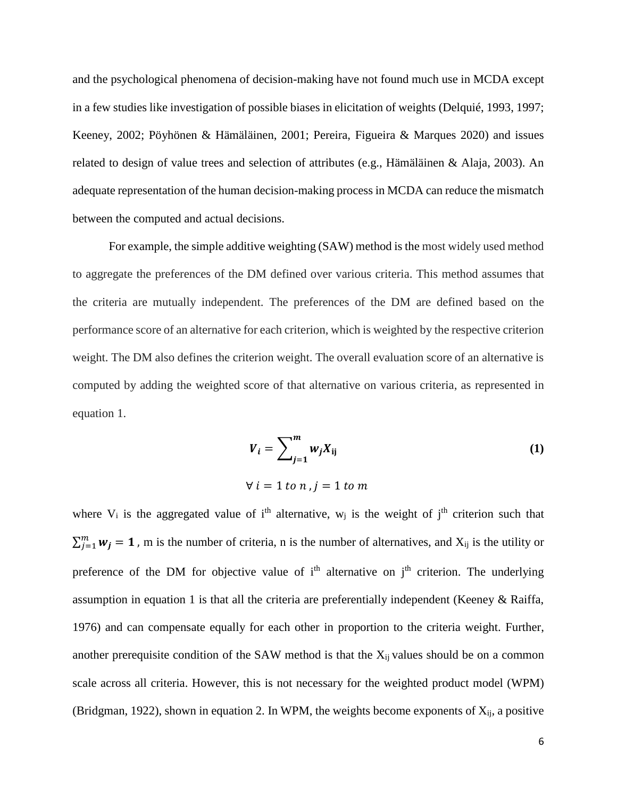and the psychological phenomena of decision-making have not found much use in MCDA except in a few studies like investigation of possible biases in elicitation of weights (Delquié, 1993, 1997; Keeney, 2002; Pöyhönen & Hämäläinen, 2001; Pereira, Figueira & Marques 2020) and issues related to design of value trees and selection of attributes (e.g., Hämäläinen & Alaja, 2003). An adequate representation of the human decision-making process in MCDA can reduce the mismatch between the computed and actual decisions.

For example, the simple additive weighting (SAW) method is the most widely used method to aggregate the preferences of the DM defined over various criteria. This method assumes that the criteria are mutually independent. The preferences of the DM are defined based on the performance score of an alternative for each criterion, which is weighted by the respective criterion weight. The DM also defines the criterion weight. The overall evaluation score of an alternative is computed by adding the weighted score of that alternative on various criteria, as represented in equation 1.

$$
V_i = \sum_{j=1}^{m} w_j X_{ij} \tag{1}
$$

$$
\forall i = 1 \text{ to } n, j = 1 \text{ to } m
$$

where  $V_i$  is the aggregated value of i<sup>th</sup> alternative,  $W_j$  is the weight of j<sup>th</sup> criterion such that  $\sum_{j=1}^{m} w_j = 1$ , m is the number of criteria, n is the number of alternatives, and  $X_{ij}$  is the utility or preference of the DM for objective value of  $i<sup>th</sup>$  alternative on  $j<sup>th</sup>$  criterion. The underlying assumption in equation 1 is that all the criteria are preferentially independent (Keeney & Raiffa, 1976) and can compensate equally for each other in proportion to the criteria weight. Further, another prerequisite condition of the SAW method is that the  $X_{ii}$  values should be on a common scale across all criteria. However, this is not necessary for the weighted product model (WPM) (Bridgman, 1922), shown in equation 2. In WPM, the weights become exponents of  $X_{ii}$ , a positive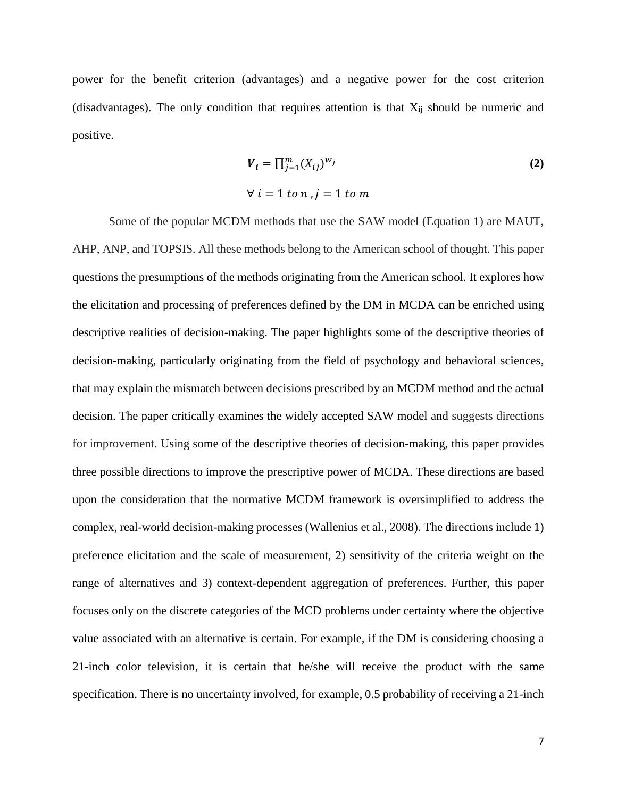power for the benefit criterion (advantages) and a negative power for the cost criterion (disadvantages). The only condition that requires attention is that  $X_{ij}$  should be numeric and positive.

$$
V_i = \prod_{j=1}^{m} (X_{ij})^{w_j}
$$
  
\n
$$
\forall i = 1 \text{ to } n, j = 1 \text{ to } m
$$
 (2)

Some of the popular MCDM methods that use the SAW model (Equation 1) are MAUT, AHP, ANP, and TOPSIS. All these methods belong to the American school of thought. This paper questions the presumptions of the methods originating from the American school. It explores how the elicitation and processing of preferences defined by the DM in MCDA can be enriched using descriptive realities of decision-making. The paper highlights some of the descriptive theories of decision-making, particularly originating from the field of psychology and behavioral sciences, that may explain the mismatch between decisions prescribed by an MCDM method and the actual decision. The paper critically examines the widely accepted SAW model and suggests directions for improvement. Using some of the descriptive theories of decision-making, this paper provides three possible directions to improve the prescriptive power of MCDA. These directions are based upon the consideration that the normative MCDM framework is oversimplified to address the complex, real-world decision-making processes (Wallenius et al., 2008). The directions include 1) preference elicitation and the scale of measurement, 2) sensitivity of the criteria weight on the range of alternatives and 3) context-dependent aggregation of preferences. Further, this paper focuses only on the discrete categories of the MCD problems under certainty where the objective value associated with an alternative is certain. For example, if the DM is considering choosing a 21-inch color television, it is certain that he/she will receive the product with the same specification. There is no uncertainty involved, for example, 0.5 probability of receiving a 21-inch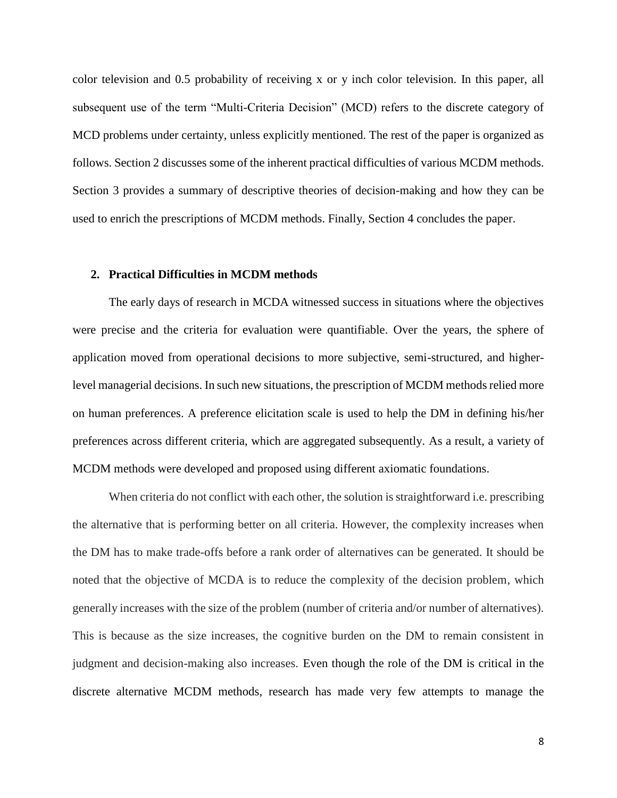color television and 0.5 probability of receiving x or y inch color television. In this paper, all subsequent use of the term "Multi-Criteria Decision" (MCD) refers to the discrete category of MCD problems under certainty, unless explicitly mentioned. The rest of the paper is organized as follows. Section 2 discusses some of the inherent practical difficulties of various MCDM methods. Section 3 provides a summary of descriptive theories of decision-making and how they can be used to enrich the prescriptions of MCDM methods. Finally, Section 4 concludes the paper.

#### **2. Practical Difficulties in MCDM methods**

The early days of research in MCDA witnessed success in situations where the objectives were precise and the criteria for evaluation were quantifiable. Over the years, the sphere of application moved from operational decisions to more subjective, semi-structured, and higherlevel managerial decisions. In such new situations, the prescription of MCDM methods relied more on human preferences. A preference elicitation scale is used to help the DM in defining his/her preferences across different criteria, which are aggregated subsequently. As a result, a variety of MCDM methods were developed and proposed using different axiomatic foundations.

When criteria do not conflict with each other, the solution is straightforward i.e. prescribing the alternative that is performing better on all criteria. However, the complexity increases when the DM has to make trade-offs before a rank order of alternatives can be generated. It should be noted that the objective of MCDA is to reduce the complexity of the decision problem, which generally increases with the size of the problem (number of criteria and/or number of alternatives). This is because as the size increases, the cognitive burden on the DM to remain consistent in judgment and decision-making also increases. Even though the role of the DM is critical in the discrete alternative MCDM methods, research has made very few attempts to manage the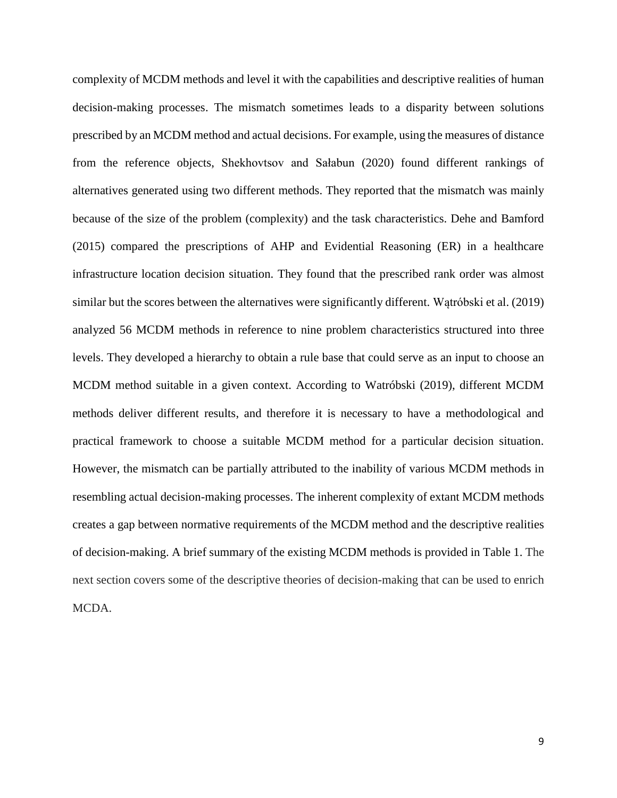complexity of MCDM methods and level it with the capabilities and descriptive realities of human decision-making processes. The mismatch sometimes leads to a disparity between solutions prescribed by an MCDM method and actual decisions. For example, using the measures of distance from the reference objects, Shekhovtsov and Sałabun (2020) found different rankings of alternatives generated using two different methods. They reported that the mismatch was mainly because of the size of the problem (complexity) and the task characteristics. Dehe and Bamford (2015) compared the prescriptions of AHP and Evidential Reasoning (ER) in a healthcare infrastructure location decision situation. They found that the prescribed rank order was almost similar but the scores between the alternatives were significantly different. Wątróbski et al. (2019) analyzed 56 MCDM methods in reference to nine problem characteristics structured into three levels. They developed a hierarchy to obtain a rule base that could serve as an input to choose an MCDM method suitable in a given context. According to Watróbski (2019), different MCDM methods deliver different results, and therefore it is necessary to have a methodological and practical framework to choose a suitable MCDM method for a particular decision situation. However, the mismatch can be partially attributed to the inability of various MCDM methods in resembling actual decision-making processes. The inherent complexity of extant MCDM methods creates a gap between normative requirements of the MCDM method and the descriptive realities of decision-making. A brief summary of the existing MCDM methods is provided in Table 1. The next section covers some of the descriptive theories of decision-making that can be used to enrich MCDA.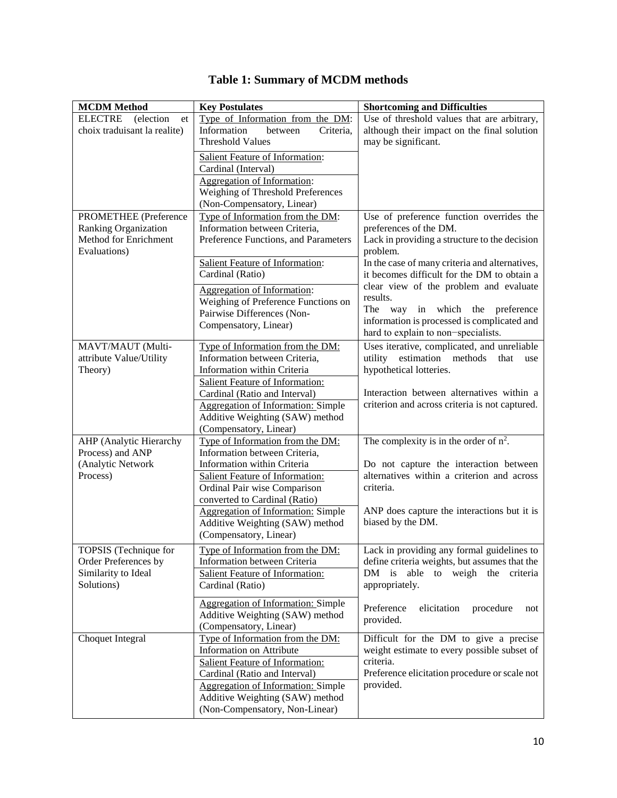| <b>MCDM</b> Method                                                                            | <b>Key Postulates</b>                                                                                                                                                                                                                                                                                                                    | <b>Shortcoming and Difficulties</b>                                                                                                                                                                                                                                             |
|-----------------------------------------------------------------------------------------------|------------------------------------------------------------------------------------------------------------------------------------------------------------------------------------------------------------------------------------------------------------------------------------------------------------------------------------------|---------------------------------------------------------------------------------------------------------------------------------------------------------------------------------------------------------------------------------------------------------------------------------|
| <b>ELECTRE</b><br>(election)<br>et<br>choix traduisant la realite)                            | Type of Information from the DM:<br>Information<br>between<br>Criteria,<br><b>Threshold Values</b>                                                                                                                                                                                                                                       | Use of threshold values that are arbitrary,<br>although their impact on the final solution<br>may be significant.                                                                                                                                                               |
|                                                                                               | <b>Salient Feature of Information:</b><br>Cardinal (Interval)<br><b>Aggregation of Information:</b><br>Weighing of Threshold Preferences<br>(Non-Compensatory, Linear)                                                                                                                                                                   |                                                                                                                                                                                                                                                                                 |
| <b>PROMETHEE</b> (Preference<br>Ranking Organization<br>Method for Enrichment<br>Evaluations) | Type of Information from the DM:<br>Information between Criteria,<br>Preference Functions, and Parameters                                                                                                                                                                                                                                | Use of preference function overrides the<br>preferences of the DM.<br>Lack in providing a structure to the decision<br>problem.                                                                                                                                                 |
|                                                                                               | <b>Salient Feature of Information:</b><br>Cardinal (Ratio)<br><b>Aggregation of Information:</b><br>Weighing of Preference Functions on<br>Pairwise Differences (Non-<br>Compensatory, Linear)                                                                                                                                           | In the case of many criteria and alternatives,<br>it becomes difficult for the DM to obtain a<br>clear view of the problem and evaluate<br>results.<br>The<br>way in which the preference<br>information is processed is complicated and<br>hard to explain to non-specialists. |
| MAVT/MAUT (Multi-<br>attribute Value/Utility<br>Theory)                                       | Type of Information from the DM:<br>Information between Criteria,<br>Information within Criteria<br>Salient Feature of Information:<br>Cardinal (Ratio and Interval)<br><b>Aggregation of Information: Simple</b><br>Additive Weighting (SAW) method                                                                                     | Uses iterative, complicated, and unreliable<br>utility estimation methods<br>that<br>use<br>hypothetical lotteries.<br>Interaction between alternatives within a<br>criterion and across criteria is not captured.                                                              |
| AHP (Analytic Hierarchy<br>Process) and ANP<br>(Analytic Network<br>Process)                  | (Compensatory, Linear)<br>Type of Information from the DM:<br>Information between Criteria,<br>Information within Criteria<br>Salient Feature of Information:<br>Ordinal Pair wise Comparison<br>converted to Cardinal (Ratio)<br><b>Aggregation of Information: Simple</b><br>Additive Weighting (SAW) method<br>(Compensatory, Linear) | The complexity is in the order of $n^2$ .<br>Do not capture the interaction between<br>alternatives within a criterion and across<br>criteria.<br>ANP does capture the interactions but it is<br>biased by the DM.                                                              |
| TOPSIS (Technique for<br>Order Preferences by<br>Similarity to Ideal<br>Solutions)            | Type of Information from the DM:<br>Information between Criteria<br>Salient Feature of Information:<br>Cardinal (Ratio)<br><b>Aggregation of Information: Simple</b><br>Additive Weighting (SAW) method<br>(Compensatory, Linear)                                                                                                        | Lack in providing any formal guidelines to<br>define criteria weights, but assumes that the<br>DM is able to weigh the criteria<br>appropriately.<br>Preference<br>elicitation<br>procedure<br>not<br>provided.                                                                 |
| Choquet Integral                                                                              | Type of Information from the DM:<br><b>Information on Attribute</b><br>Salient Feature of Information:<br>Cardinal (Ratio and Interval)<br><b>Aggregation of Information: Simple</b><br>Additive Weighting (SAW) method<br>(Non-Compensatory, Non-Linear)                                                                                | Difficult for the DM to give a precise<br>weight estimate to every possible subset of<br>criteria.<br>Preference elicitation procedure or scale not<br>provided.                                                                                                                |

# **Table 1: Summary of MCDM methods**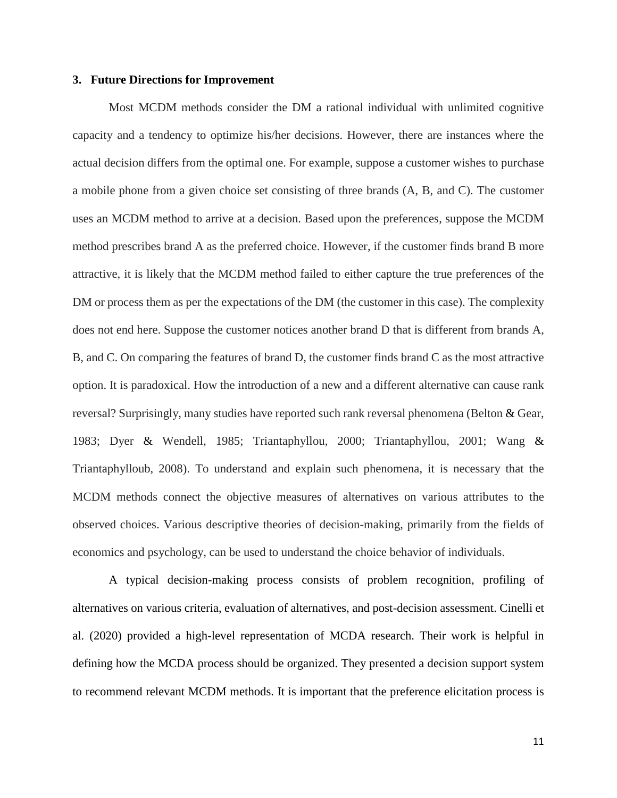## **3. Future Directions for Improvement**

Most MCDM methods consider the DM a rational individual with unlimited cognitive capacity and a tendency to optimize his/her decisions. However, there are instances where the actual decision differs from the optimal one. For example, suppose a customer wishes to purchase a mobile phone from a given choice set consisting of three brands (A, B, and C). The customer uses an MCDM method to arrive at a decision. Based upon the preferences, suppose the MCDM method prescribes brand A as the preferred choice. However, if the customer finds brand B more attractive, it is likely that the MCDM method failed to either capture the true preferences of the DM or process them as per the expectations of the DM (the customer in this case). The complexity does not end here. Suppose the customer notices another brand D that is different from brands A, B, and C. On comparing the features of brand D, the customer finds brand C as the most attractive option. It is paradoxical. How the introduction of a new and a different alternative can cause rank reversal? Surprisingly, many studies have reported such rank reversal phenomena (Belton & Gear, 1983; Dyer & Wendell, 1985; Triantaphyllou, 2000; Triantaphyllou, 2001; Wang & Triantaphylloub, 2008). To understand and explain such phenomena, it is necessary that the MCDM methods connect the objective measures of alternatives on various attributes to the observed choices. Various descriptive theories of decision-making, primarily from the fields of economics and psychology, can be used to understand the choice behavior of individuals.

A typical decision-making process consists of problem recognition, profiling of alternatives on various criteria, evaluation of alternatives, and post-decision assessment. Cinelli et al. (2020) provided a high-level representation of MCDA research. Their work is helpful in defining how the MCDA process should be organized. They presented a decision support system to recommend relevant MCDM methods. It is important that the preference elicitation process is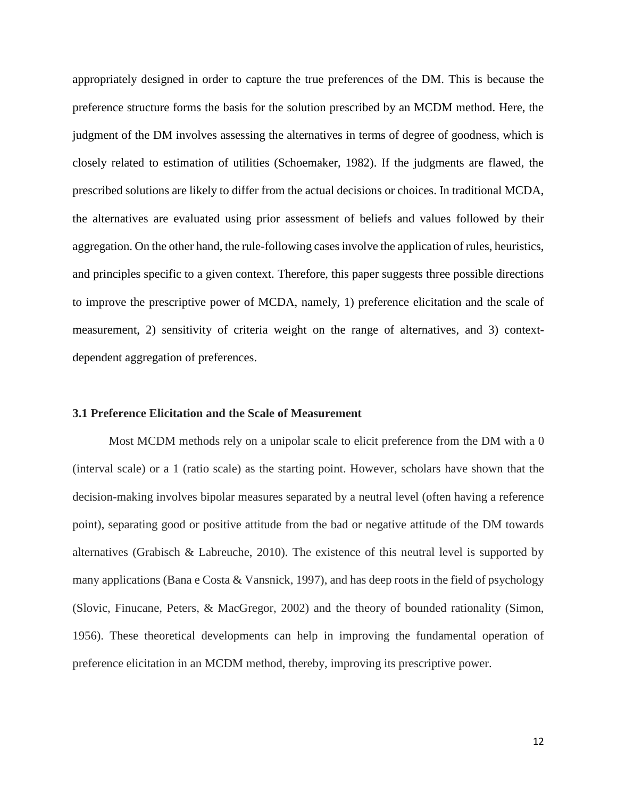appropriately designed in order to capture the true preferences of the DM. This is because the preference structure forms the basis for the solution prescribed by an MCDM method. Here, the judgment of the DM involves assessing the alternatives in terms of degree of goodness, which is closely related to estimation of utilities (Schoemaker, 1982). If the judgments are flawed, the prescribed solutions are likely to differ from the actual decisions or choices. In traditional MCDA, the alternatives are evaluated using prior assessment of beliefs and values followed by their aggregation. On the other hand, the rule-following cases involve the application of rules, heuristics, and principles specific to a given context. Therefore, this paper suggests three possible directions to improve the prescriptive power of MCDA, namely, 1) preference elicitation and the scale of measurement, 2) sensitivity of criteria weight on the range of alternatives, and 3) contextdependent aggregation of preferences.

## **3.1 Preference Elicitation and the Scale of Measurement**

Most MCDM methods rely on a unipolar scale to elicit preference from the DM with a 0 (interval scale) or a 1 (ratio scale) as the starting point. However, scholars have shown that the decision-making involves bipolar measures separated by a neutral level (often having a reference point), separating good or positive attitude from the bad or negative attitude of the DM towards alternatives (Grabisch & Labreuche, 2010). The existence of this neutral level is supported by many applications (Bana e Costa & Vansnick, 1997), and has deep roots in the field of psychology (Slovic, Finucane, Peters, & MacGregor, 2002) and the theory of bounded rationality (Simon, 1956). These theoretical developments can help in improving the fundamental operation of preference elicitation in an MCDM method, thereby, improving its prescriptive power.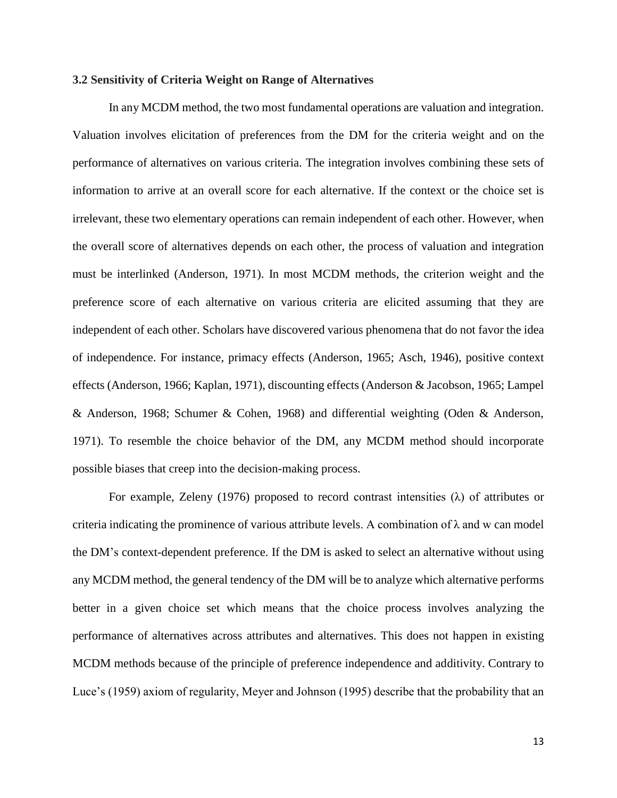## **3.2 Sensitivity of Criteria Weight on Range of Alternatives**

In any MCDM method, the two most fundamental operations are valuation and integration. Valuation involves elicitation of preferences from the DM for the criteria weight and on the performance of alternatives on various criteria. The integration involves combining these sets of information to arrive at an overall score for each alternative. If the context or the choice set is irrelevant, these two elementary operations can remain independent of each other. However, when the overall score of alternatives depends on each other, the process of valuation and integration must be interlinked (Anderson, 1971). In most MCDM methods, the criterion weight and the preference score of each alternative on various criteria are elicited assuming that they are independent of each other. Scholars have discovered various phenomena that do not favor the idea of independence. For instance, primacy effects (Anderson, 1965; Asch, 1946), positive context effects (Anderson, 1966; Kaplan, 1971), discounting effects (Anderson & Jacobson, 1965; Lampel & Anderson, 1968; Schumer & Cohen, 1968) and differential weighting (Oden & Anderson, 1971). To resemble the choice behavior of the DM, any MCDM method should incorporate possible biases that creep into the decision-making process.

For example, Zeleny (1976) proposed to record contrast intensities  $(\lambda)$  of attributes or criteria indicating the prominence of various attribute levels. A combination of  $\lambda$  and w can model the DM's context-dependent preference. If the DM is asked to select an alternative without using any MCDM method, the general tendency of the DM will be to analyze which alternative performs better in a given choice set which means that the choice process involves analyzing the performance of alternatives across attributes and alternatives. This does not happen in existing MCDM methods because of the principle of preference independence and additivity. Contrary to Luce's (1959) axiom of regularity, Meyer and Johnson (1995) describe that the probability that an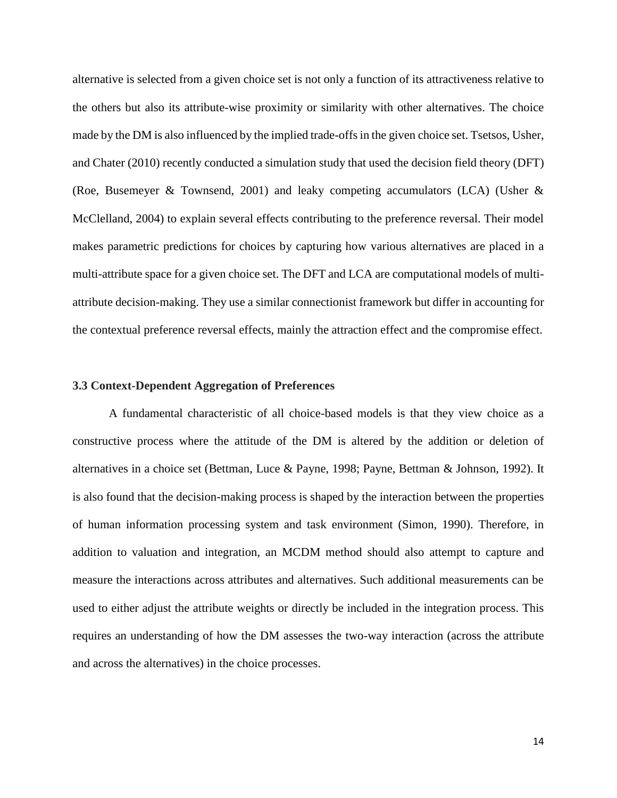alternative is selected from a given choice set is not only a function of its attractiveness relative to the others but also its attribute-wise proximity or similarity with other alternatives. The choice made by the DM is also influenced by the implied trade-offs in the given choice set. Tsetsos, Usher, and Chater (2010) recently conducted a simulation study that used the decision field theory (DFT) (Roe, Busemeyer & Townsend, 2001) and leaky competing accumulators (LCA) (Usher  $\&$ McClelland, 2004) to explain several effects contributing to the preference reversal. Their model makes parametric predictions for choices by capturing how various alternatives are placed in a multi-attribute space for a given choice set. The DFT and LCA are computational models of multiattribute decision-making. They use a similar connectionist framework but differ in accounting for the contextual preference reversal effects, mainly the attraction effect and the compromise effect.

## **3.3 Context-Dependent Aggregation of Preferences**

A fundamental characteristic of all choice-based models is that they view choice as a constructive process where the attitude of the DM is altered by the addition or deletion of alternatives in a choice set (Bettman, Luce & Payne, 1998; Payne, Bettman & Johnson, 1992). It is also found that the decision-making process is shaped by the interaction between the properties of human information processing system and task environment (Simon, 1990). Therefore, in addition to valuation and integration, an MCDM method should also attempt to capture and measure the interactions across attributes and alternatives. Such additional measurements can be used to either adjust the attribute weights or directly be included in the integration process. This requires an understanding of how the DM assesses the two-way interaction (across the attribute and across the alternatives) in the choice processes.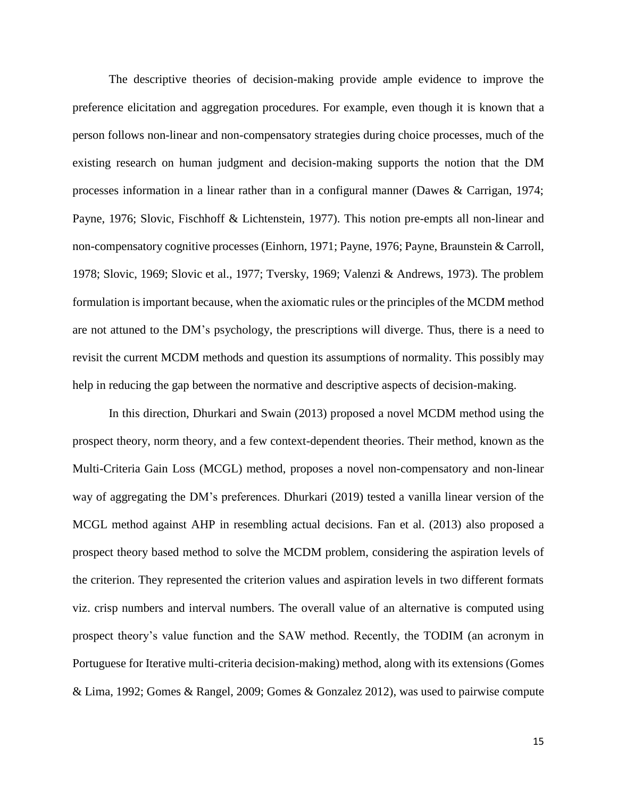The descriptive theories of decision-making provide ample evidence to improve the preference elicitation and aggregation procedures. For example, even though it is known that a person follows non-linear and non-compensatory strategies during choice processes, much of the existing research on human judgment and decision-making supports the notion that the DM processes information in a linear rather than in a configural manner (Dawes & Carrigan, 1974; Payne, 1976; Slovic, Fischhoff & Lichtenstein, 1977). This notion pre-empts all non-linear and non-compensatory cognitive processes (Einhorn, 1971; Payne, 1976; Payne, Braunstein & Carroll, 1978; Slovic, 1969; Slovic et al., 1977; Tversky, 1969; Valenzi & Andrews, 1973). The problem formulation is important because, when the axiomatic rules or the principles of the MCDM method are not attuned to the DM's psychology, the prescriptions will diverge. Thus, there is a need to revisit the current MCDM methods and question its assumptions of normality. This possibly may help in reducing the gap between the normative and descriptive aspects of decision-making.

In this direction, Dhurkari and Swain (2013) proposed a novel MCDM method using the prospect theory, norm theory, and a few context-dependent theories. Their method, known as the Multi-Criteria Gain Loss (MCGL) method, proposes a novel non-compensatory and non-linear way of aggregating the DM's preferences. Dhurkari (2019) tested a vanilla linear version of the MCGL method against AHP in resembling actual decisions. Fan et al. (2013) also proposed a prospect theory based method to solve the MCDM problem, considering the aspiration levels of the criterion. They represented the criterion values and aspiration levels in two different formats viz. crisp numbers and interval numbers. The overall value of an alternative is computed using prospect theory's value function and the SAW method. Recently, the TODIM (an acronym in Portuguese for Iterative multi-criteria decision-making) method, along with its extensions (Gomes & Lima, 1992; Gomes & Rangel, 2009; Gomes & Gonzalez 2012), was used to pairwise compute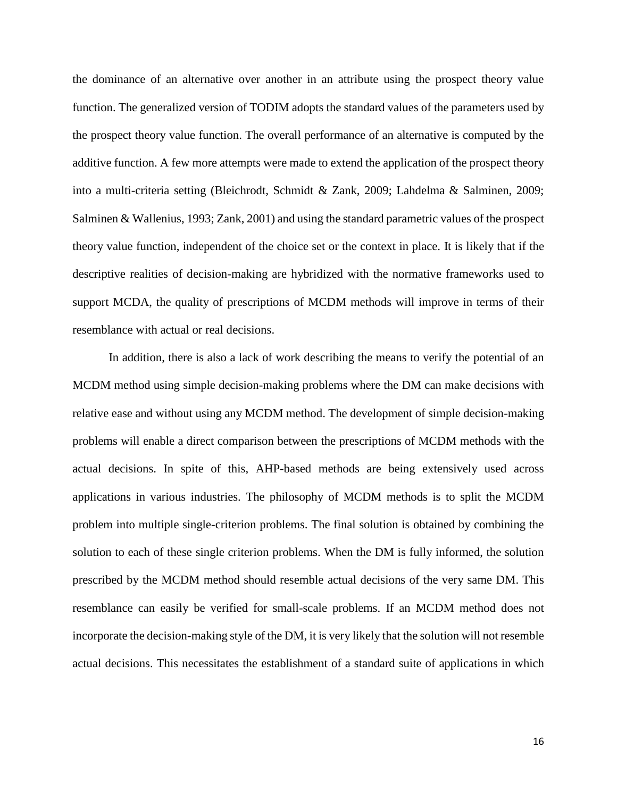the dominance of an alternative over another in an attribute using the prospect theory value function. The generalized version of TODIM adopts the standard values of the parameters used by the prospect theory value function. The overall performance of an alternative is computed by the additive function. A few more attempts were made to extend the application of the prospect theory into a multi-criteria setting (Bleichrodt, Schmidt & Zank, 2009; Lahdelma & Salminen, 2009; Salminen & Wallenius, 1993; Zank, 2001) and using the standard parametric values of the prospect theory value function, independent of the choice set or the context in place. It is likely that if the descriptive realities of decision-making are hybridized with the normative frameworks used to support MCDA, the quality of prescriptions of MCDM methods will improve in terms of their resemblance with actual or real decisions.

In addition, there is also a lack of work describing the means to verify the potential of an MCDM method using simple decision-making problems where the DM can make decisions with relative ease and without using any MCDM method. The development of simple decision-making problems will enable a direct comparison between the prescriptions of MCDM methods with the actual decisions. In spite of this, AHP-based methods are being extensively used across applications in various industries. The philosophy of MCDM methods is to split the MCDM problem into multiple single-criterion problems. The final solution is obtained by combining the solution to each of these single criterion problems. When the DM is fully informed, the solution prescribed by the MCDM method should resemble actual decisions of the very same DM. This resemblance can easily be verified for small-scale problems. If an MCDM method does not incorporate the decision-making style of the DM, it is very likely that the solution will not resemble actual decisions. This necessitates the establishment of a standard suite of applications in which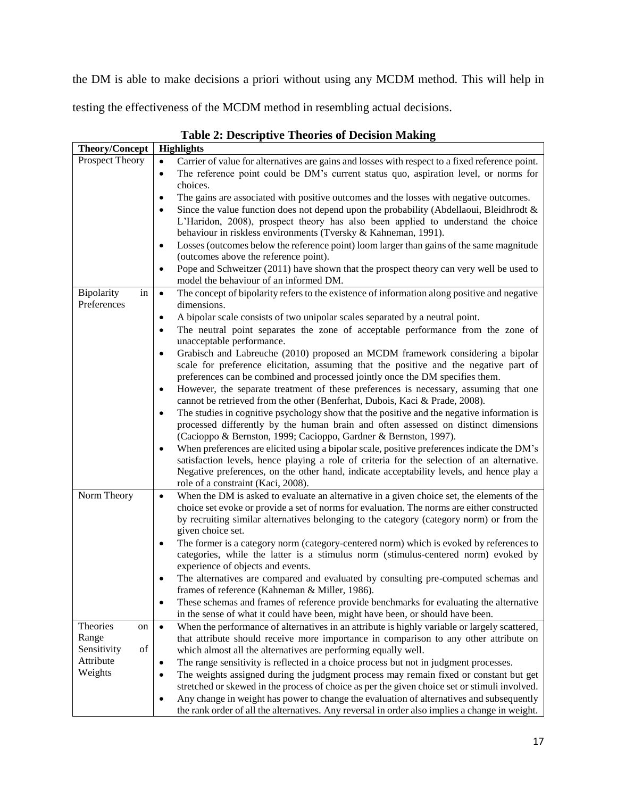the DM is able to make decisions a priori without using any MCDM method. This will help in

testing the effectiveness of the MCDM method in resembling actual decisions.

| Theory/Concept                 | <b>Highlights</b>                                                                                                                                                                                        |
|--------------------------------|----------------------------------------------------------------------------------------------------------------------------------------------------------------------------------------------------------|
| Prospect Theory                | Carrier of value for alternatives are gains and losses with respect to a fixed reference point.<br>$\bullet$                                                                                             |
|                                | The reference point could be DM's current status quo, aspiration level, or norms for<br>$\bullet$                                                                                                        |
|                                | choices.<br>The gains are associated with positive outcomes and the losses with negative outcomes.<br>$\bullet$                                                                                          |
|                                | Since the value function does not depend upon the probability (Abdellaoui, Bleidhrodt $\&$<br>$\bullet$                                                                                                  |
|                                | L'Haridon, 2008), prospect theory has also been applied to understand the choice                                                                                                                         |
|                                | behaviour in riskless environments (Tversky & Kahneman, 1991).                                                                                                                                           |
|                                | Losses (outcomes below the reference point) loom larger than gains of the same magnitude<br>$\bullet$<br>(outcomes above the reference point).                                                           |
|                                | Pope and Schweitzer (2011) have shown that the prospect theory can very well be used to<br>$\bullet$<br>model the behaviour of an informed DM.                                                           |
| Bipolarity<br>in               | The concept of bipolarity refers to the existence of information along positive and negative<br>$\bullet$                                                                                                |
| Preferences                    | dimensions.                                                                                                                                                                                              |
|                                | A bipolar scale consists of two unipolar scales separated by a neutral point.<br>$\bullet$                                                                                                               |
|                                | The neutral point separates the zone of acceptable performance from the zone of<br>$\bullet$<br>unacceptable performance.                                                                                |
|                                | Grabisch and Labreuche (2010) proposed an MCDM framework considering a bipolar<br>$\bullet$                                                                                                              |
|                                | scale for preference elicitation, assuming that the positive and the negative part of                                                                                                                    |
|                                | preferences can be combined and processed jointly once the DM specifies them.                                                                                                                            |
|                                | However, the separate treatment of these preferences is necessary, assuming that one<br>$\bullet$<br>cannot be retrieved from the other (Benferhat, Dubois, Kaci & Prade, 2008).                         |
|                                | The studies in cognitive psychology show that the positive and the negative information is<br>$\bullet$                                                                                                  |
|                                | processed differently by the human brain and often assessed on distinct dimensions                                                                                                                       |
|                                | (Cacioppo & Bernston, 1999; Cacioppo, Gardner & Bernston, 1997).<br>When preferences are elicited using a bipolar scale, positive preferences indicate the DM's<br>٠                                     |
|                                | satisfaction levels, hence playing a role of criteria for the selection of an alternative.                                                                                                               |
|                                | Negative preferences, on the other hand, indicate acceptability levels, and hence play a                                                                                                                 |
|                                | role of a constraint (Kaci, 2008).                                                                                                                                                                       |
| Norm Theory                    | When the DM is asked to evaluate an alternative in a given choice set, the elements of the<br>$\bullet$                                                                                                  |
|                                | choice set evoke or provide a set of norms for evaluation. The norms are either constructed<br>by recruiting similar alternatives belonging to the category (category norm) or from the                  |
|                                | given choice set.                                                                                                                                                                                        |
|                                | The former is a category norm (category-centered norm) which is evoked by references to<br>٠                                                                                                             |
|                                | categories, while the latter is a stimulus norm (stimulus-centered norm) evoked by                                                                                                                       |
|                                | experience of objects and events.                                                                                                                                                                        |
|                                | The alternatives are compared and evaluated by consulting pre-computed schemas and<br>frames of reference (Kahneman & Miller, 1986).                                                                     |
|                                | These schemas and frames of reference provide benchmarks for evaluating the alternative<br>$\bullet$                                                                                                     |
|                                | in the sense of what it could have been, might have been, or should have been.                                                                                                                           |
| Theories<br>on                 | When the performance of alternatives in an attribute is highly variable or largely scattered,<br>$\bullet$                                                                                               |
| Range                          | that attribute should receive more importance in comparison to any other attribute on                                                                                                                    |
| of<br>Sensitivity<br>Attribute | which almost all the alternatives are performing equally well.                                                                                                                                           |
| Weights                        | The range sensitivity is reflected in a choice process but not in judgment processes.<br>$\bullet$<br>The weights assigned during the judgment process may remain fixed or constant but get<br>$\bullet$ |
|                                | stretched or skewed in the process of choice as per the given choice set or stimuli involved.                                                                                                            |
|                                | Any change in weight has power to change the evaluation of alternatives and subsequently<br>$\bullet$                                                                                                    |
|                                | the rank order of all the alternatives. Any reversal in order also implies a change in weight.                                                                                                           |

**Table 2: Descriptive Theories of Decision Making**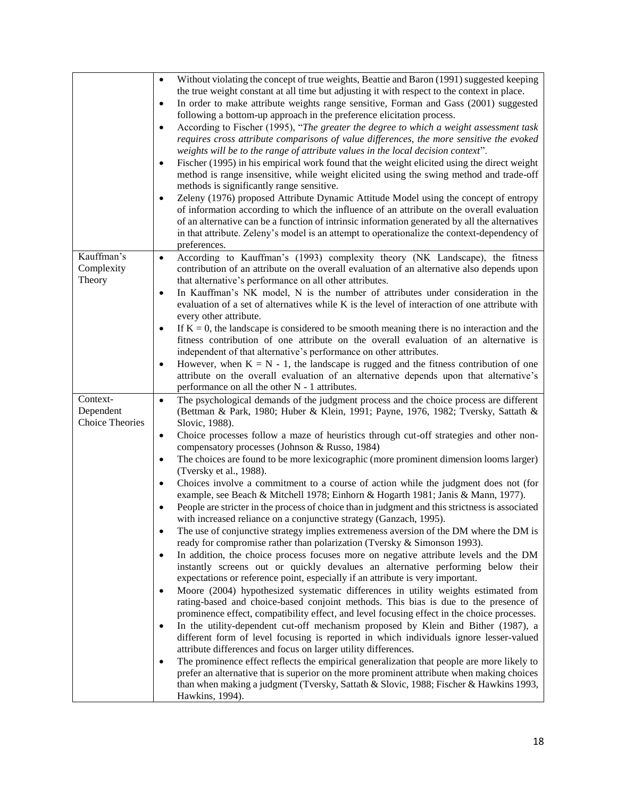|                        | Without violating the concept of true weights, Beattie and Baron (1991) suggested keeping<br>$\bullet$<br>the true weight constant at all time but adjusting it with respect to the context in place.<br>In order to make attribute weights range sensitive, Forman and Gass (2001) suggested<br>$\bullet$<br>following a bottom-up approach in the preference elicitation process.<br>According to Fischer (1995), "The greater the degree to which a weight assessment task<br>$\bullet$<br>requires cross attribute comparisons of value differences, the more sensitive the evoked<br>weights will be to the range of attribute values in the local decision context".<br>Fischer (1995) in his empirical work found that the weight elicited using the direct weight<br>$\bullet$<br>method is range insensitive, while weight elicited using the swing method and trade-off<br>methods is significantly range sensitive.<br>Zeleny (1976) proposed Attribute Dynamic Attitude Model using the concept of entropy<br>$\bullet$<br>of information according to which the influence of an attribute on the overall evaluation<br>of an alternative can be a function of intrinsic information generated by all the alternatives<br>in that attribute. Zeleny's model is an attempt to operationalize the context-dependency of<br>preferences. |
|------------------------|---------------------------------------------------------------------------------------------------------------------------------------------------------------------------------------------------------------------------------------------------------------------------------------------------------------------------------------------------------------------------------------------------------------------------------------------------------------------------------------------------------------------------------------------------------------------------------------------------------------------------------------------------------------------------------------------------------------------------------------------------------------------------------------------------------------------------------------------------------------------------------------------------------------------------------------------------------------------------------------------------------------------------------------------------------------------------------------------------------------------------------------------------------------------------------------------------------------------------------------------------------------------------------------------------------------------------------------------------|
| Kauffman's             | According to Kauffman's (1993) complexity theory (NK Landscape), the fitness<br>$\bullet$                                                                                                                                                                                                                                                                                                                                                                                                                                                                                                                                                                                                                                                                                                                                                                                                                                                                                                                                                                                                                                                                                                                                                                                                                                                         |
| Complexity<br>Theory   | contribution of an attribute on the overall evaluation of an alternative also depends upon<br>that alternative's performance on all other attributes.                                                                                                                                                                                                                                                                                                                                                                                                                                                                                                                                                                                                                                                                                                                                                                                                                                                                                                                                                                                                                                                                                                                                                                                             |
|                        | In Kauffman's NK model, N is the number of attributes under consideration in the<br>$\bullet$                                                                                                                                                                                                                                                                                                                                                                                                                                                                                                                                                                                                                                                                                                                                                                                                                                                                                                                                                                                                                                                                                                                                                                                                                                                     |
|                        | evaluation of a set of alternatives while K is the level of interaction of one attribute with<br>every other attribute.                                                                                                                                                                                                                                                                                                                                                                                                                                                                                                                                                                                                                                                                                                                                                                                                                                                                                                                                                                                                                                                                                                                                                                                                                           |
|                        | If $K = 0$ , the landscape is considered to be smooth meaning there is no interaction and the<br>$\bullet$                                                                                                                                                                                                                                                                                                                                                                                                                                                                                                                                                                                                                                                                                                                                                                                                                                                                                                                                                                                                                                                                                                                                                                                                                                        |
|                        | fitness contribution of one attribute on the overall evaluation of an alternative is<br>independent of that alternative's performance on other attributes.                                                                                                                                                                                                                                                                                                                                                                                                                                                                                                                                                                                                                                                                                                                                                                                                                                                                                                                                                                                                                                                                                                                                                                                        |
|                        | However, when $K = N - 1$ , the landscape is rugged and the fitness contribution of one<br>$\bullet$                                                                                                                                                                                                                                                                                                                                                                                                                                                                                                                                                                                                                                                                                                                                                                                                                                                                                                                                                                                                                                                                                                                                                                                                                                              |
|                        | attribute on the overall evaluation of an alternative depends upon that alternative's<br>performance on all the other N - 1 attributes.                                                                                                                                                                                                                                                                                                                                                                                                                                                                                                                                                                                                                                                                                                                                                                                                                                                                                                                                                                                                                                                                                                                                                                                                           |
| Context-               | The psychological demands of the judgment process and the choice process are different<br>$\bullet$                                                                                                                                                                                                                                                                                                                                                                                                                                                                                                                                                                                                                                                                                                                                                                                                                                                                                                                                                                                                                                                                                                                                                                                                                                               |
| Dependent              | (Bettman & Park, 1980; Huber & Klein, 1991; Payne, 1976, 1982; Tversky, Sattath &                                                                                                                                                                                                                                                                                                                                                                                                                                                                                                                                                                                                                                                                                                                                                                                                                                                                                                                                                                                                                                                                                                                                                                                                                                                                 |
| <b>Choice Theories</b> | Slovic, 1988).                                                                                                                                                                                                                                                                                                                                                                                                                                                                                                                                                                                                                                                                                                                                                                                                                                                                                                                                                                                                                                                                                                                                                                                                                                                                                                                                    |
|                        | Choice processes follow a maze of heuristics through cut-off strategies and other non-<br>$\bullet$<br>compensatory processes (Johnson & Russo, 1984)                                                                                                                                                                                                                                                                                                                                                                                                                                                                                                                                                                                                                                                                                                                                                                                                                                                                                                                                                                                                                                                                                                                                                                                             |
|                        | The choices are found to be more lexicographic (more prominent dimension looms larger)<br>$\bullet$<br>(Tversky et al., 1988).                                                                                                                                                                                                                                                                                                                                                                                                                                                                                                                                                                                                                                                                                                                                                                                                                                                                                                                                                                                                                                                                                                                                                                                                                    |
|                        | Choices involve a commitment to a course of action while the judgment does not (for<br>$\bullet$<br>example, see Beach & Mitchell 1978; Einhorn & Hogarth 1981; Janis & Mann, 1977).                                                                                                                                                                                                                                                                                                                                                                                                                                                                                                                                                                                                                                                                                                                                                                                                                                                                                                                                                                                                                                                                                                                                                              |
|                        | People are stricter in the process of choice than in judgment and this strictness is associated<br>with increased reliance on a conjunctive strategy (Ganzach, 1995).                                                                                                                                                                                                                                                                                                                                                                                                                                                                                                                                                                                                                                                                                                                                                                                                                                                                                                                                                                                                                                                                                                                                                                             |
|                        | The use of conjunctive strategy implies extremeness aversion of the DM where the DM is<br>$\bullet$                                                                                                                                                                                                                                                                                                                                                                                                                                                                                                                                                                                                                                                                                                                                                                                                                                                                                                                                                                                                                                                                                                                                                                                                                                               |
|                        | ready for compromise rather than polarization (Tversky & Simonson 1993).                                                                                                                                                                                                                                                                                                                                                                                                                                                                                                                                                                                                                                                                                                                                                                                                                                                                                                                                                                                                                                                                                                                                                                                                                                                                          |
|                        | In addition, the choice process focuses more on negative attribute levels and the DM<br>٠<br>instantly screens out or quickly devalues an alternative performing below their                                                                                                                                                                                                                                                                                                                                                                                                                                                                                                                                                                                                                                                                                                                                                                                                                                                                                                                                                                                                                                                                                                                                                                      |
|                        | expectations or reference point, especially if an attribute is very important.                                                                                                                                                                                                                                                                                                                                                                                                                                                                                                                                                                                                                                                                                                                                                                                                                                                                                                                                                                                                                                                                                                                                                                                                                                                                    |
|                        | Moore (2004) hypothesized systematic differences in utility weights estimated from<br>$\bullet$                                                                                                                                                                                                                                                                                                                                                                                                                                                                                                                                                                                                                                                                                                                                                                                                                                                                                                                                                                                                                                                                                                                                                                                                                                                   |
|                        | rating-based and choice-based conjoint methods. This bias is due to the presence of                                                                                                                                                                                                                                                                                                                                                                                                                                                                                                                                                                                                                                                                                                                                                                                                                                                                                                                                                                                                                                                                                                                                                                                                                                                               |
|                        | prominence effect, compatibility effect, and level focusing effect in the choice processes.<br>In the utility-dependent cut-off mechanism proposed by Klein and Bither (1987), a<br>$\bullet$                                                                                                                                                                                                                                                                                                                                                                                                                                                                                                                                                                                                                                                                                                                                                                                                                                                                                                                                                                                                                                                                                                                                                     |
|                        | different form of level focusing is reported in which individuals ignore lesser-valued                                                                                                                                                                                                                                                                                                                                                                                                                                                                                                                                                                                                                                                                                                                                                                                                                                                                                                                                                                                                                                                                                                                                                                                                                                                            |
|                        | attribute differences and focus on larger utility differences.                                                                                                                                                                                                                                                                                                                                                                                                                                                                                                                                                                                                                                                                                                                                                                                                                                                                                                                                                                                                                                                                                                                                                                                                                                                                                    |
|                        | The prominence effect reflects the empirical generalization that people are more likely to<br>$\bullet$<br>prefer an alternative that is superior on the more prominent attribute when making choices                                                                                                                                                                                                                                                                                                                                                                                                                                                                                                                                                                                                                                                                                                                                                                                                                                                                                                                                                                                                                                                                                                                                             |
|                        | than when making a judgment (Tversky, Sattath & Slovic, 1988; Fischer & Hawkins 1993,                                                                                                                                                                                                                                                                                                                                                                                                                                                                                                                                                                                                                                                                                                                                                                                                                                                                                                                                                                                                                                                                                                                                                                                                                                                             |
|                        | Hawkins, 1994).                                                                                                                                                                                                                                                                                                                                                                                                                                                                                                                                                                                                                                                                                                                                                                                                                                                                                                                                                                                                                                                                                                                                                                                                                                                                                                                                   |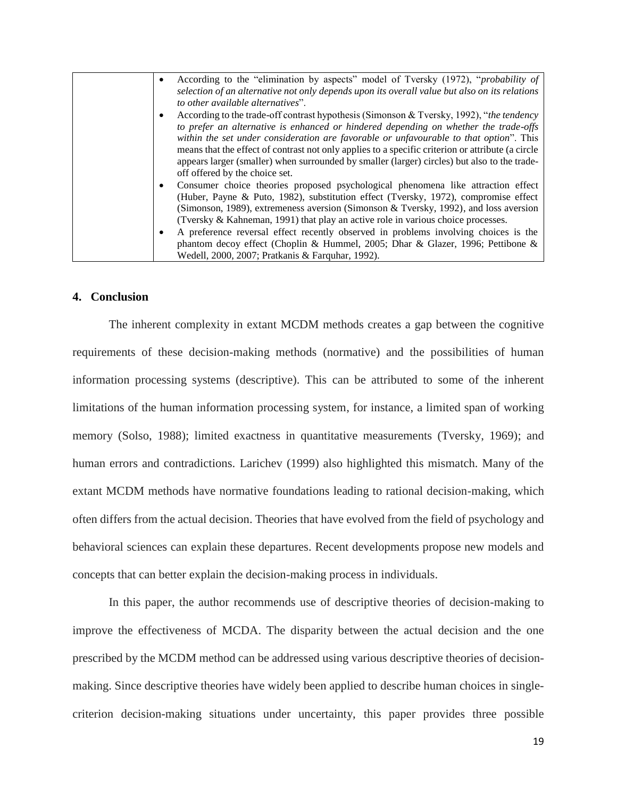| According to the "elimination by aspects" model of Tversky (1972), " <i>probability of</i>        |
|---------------------------------------------------------------------------------------------------|
| selection of an alternative not only depends upon its overall value but also on its relations     |
| to other available alternatives".                                                                 |
| According to the trade-off contrast hypothesis (Simonson & Tversky, 1992), "the tendency          |
| to prefer an alternative is enhanced or hindered depending on whether the trade-offs              |
| within the set under consideration are favorable or unfavourable to that option". This            |
| means that the effect of contrast not only applies to a specific criterion or attribute (a circle |
| appears larger (smaller) when surrounded by smaller (larger) circles) but also to the trade-      |
| off offered by the choice set.                                                                    |
| Consumer choice theories proposed psychological phenomena like attraction effect                  |
| (Huber, Payne & Puto, 1982), substitution effect (Tversky, 1972), compromise effect               |
| (Simonson, 1989), extremeness aversion (Simonson & Tversky, 1992), and loss aversion              |
| (Tversky & Kahneman, 1991) that play an active role in various choice processes.                  |
| A preference reversal effect recently observed in problems involving choices is the               |
| phantom decoy effect (Choplin & Hummel, 2005; Dhar & Glazer, 1996; Pettibone &                    |
| Wedell, 2000, 2007; Pratkanis & Farquhar, 1992).                                                  |

## **4. Conclusion**

The inherent complexity in extant MCDM methods creates a gap between the cognitive requirements of these decision-making methods (normative) and the possibilities of human information processing systems (descriptive). This can be attributed to some of the inherent limitations of the human information processing system, for instance, a limited span of working memory (Solso, 1988); limited exactness in quantitative measurements (Tversky, 1969); and human errors and contradictions. Larichev (1999) also highlighted this mismatch. Many of the extant MCDM methods have normative foundations leading to rational decision-making, which often differs from the actual decision. Theories that have evolved from the field of psychology and behavioral sciences can explain these departures. Recent developments propose new models and concepts that can better explain the decision-making process in individuals.

In this paper, the author recommends use of descriptive theories of decision-making to improve the effectiveness of MCDA. The disparity between the actual decision and the one prescribed by the MCDM method can be addressed using various descriptive theories of decisionmaking. Since descriptive theories have widely been applied to describe human choices in singlecriterion decision-making situations under uncertainty, this paper provides three possible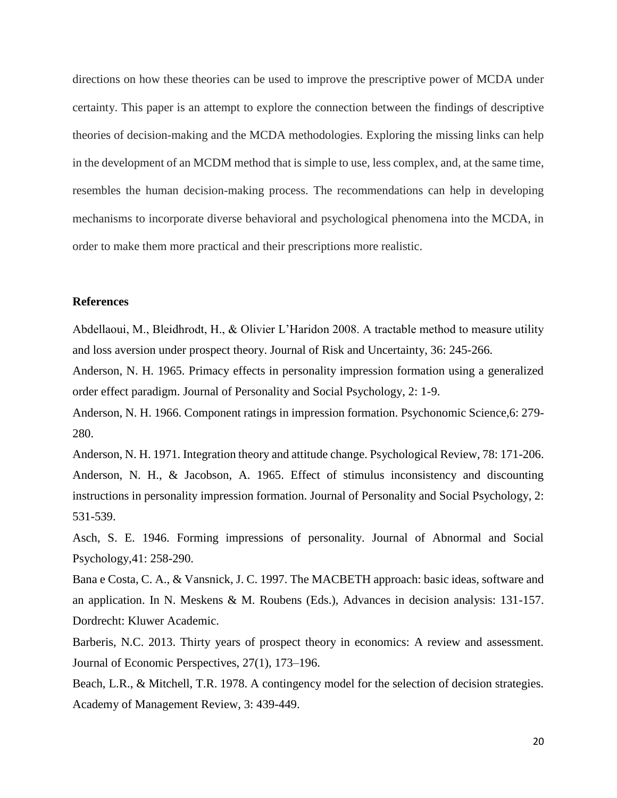directions on how these theories can be used to improve the prescriptive power of MCDA under certainty. This paper is an attempt to explore the connection between the findings of descriptive theories of decision-making and the MCDA methodologies. Exploring the missing links can help in the development of an MCDM method that is simple to use, less complex, and, at the same time, resembles the human decision-making process. The recommendations can help in developing mechanisms to incorporate diverse behavioral and psychological phenomena into the MCDA, in order to make them more practical and their prescriptions more realistic.

## **References**

Abdellaoui, M., Bleidhrodt, H., & Olivier L'Haridon 2008. A tractable method to measure utility and loss aversion under prospect theory. Journal of Risk and Uncertainty, 36: 245-266.

Anderson, N. H. 1965. Primacy effects in personality impression formation using a generalized order effect paradigm. Journal of Personality and Social Psychology, 2: 1-9.

Anderson, N. H. 1966. Component ratings in impression formation. Psychonomic Science,6: 279- 280.

Anderson, N. H. 1971. Integration theory and attitude change. Psychological Review, 78: 171-206. Anderson, N. H., & Jacobson, A. 1965. Effect of stimulus inconsistency and discounting instructions in personality impression formation. Journal of Personality and Social Psychology, 2: 531-539.

Asch, S. E. 1946. Forming impressions of personality. Journal of Abnormal and Social Psychology,41: 258-290.

Bana e Costa, C. A., & Vansnick, J. C. 1997. The MACBETH approach: basic ideas, software and an application. In N. Meskens & M. Roubens (Eds.), Advances in decision analysis: 131-157. Dordrecht: Kluwer Academic.

Barberis, N.C. 2013. Thirty years of prospect theory in economics: A review and assessment. Journal of Economic Perspectives, 27(1), 173–196.

Beach, L.R., & Mitchell, T.R. 1978. A contingency model for the selection of decision strategies. Academy of Management Review, 3: 439-449.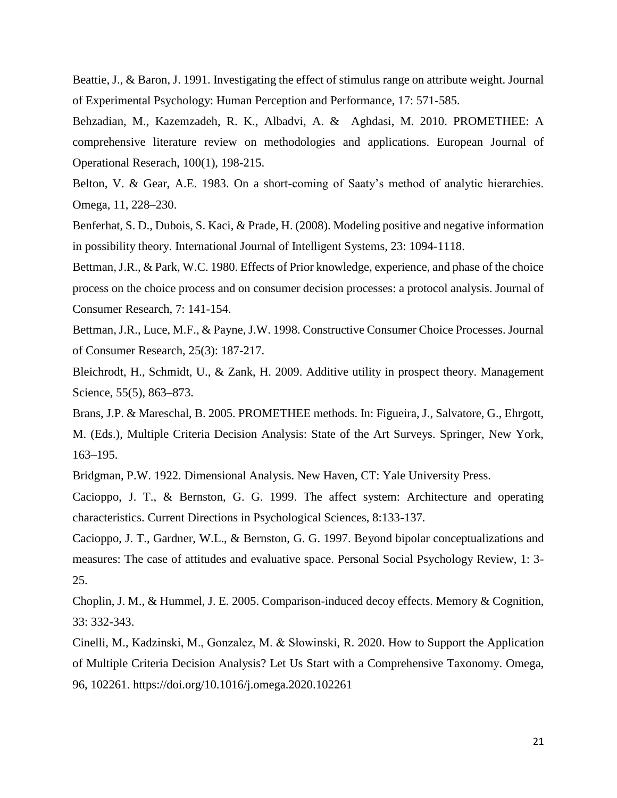Beattie, J., & Baron, J. 1991. Investigating the effect of stimulus range on attribute weight. Journal of Experimental Psychology: Human Perception and Performance, 17: 571-585.

Behzadian, M., Kazemzadeh, R. K., Albadvi, A. & Aghdasi, M. 2010. PROMETHEE: A comprehensive literature review on methodologies and applications. European Journal of Operational Reserach, 100(1), 198-215.

Belton, V. & Gear, A.E. 1983. On a short-coming of Saaty's method of analytic hierarchies. Omega, 11, 228–230.

Benferhat, S. D., Dubois, S. Kaci, & Prade, H. (2008). Modeling positive and negative information in possibility theory. International Journal of Intelligent Systems, 23: 1094-1118.

Bettman, J.R., & Park, W.C. 1980. Effects of Prior knowledge, experience, and phase of the choice process on the choice process and on consumer decision processes: a protocol analysis. Journal of Consumer Research, 7: 141-154.

Bettman, J.R., Luce, M.F., & Payne, J.W. 1998. Constructive Consumer Choice Processes. Journal of Consumer Research, 25(3): 187-217.

Bleichrodt, H., Schmidt, U., & Zank, H. 2009. Additive utility in prospect theory. Management Science, 55(5), 863–873.

Brans, J.P. & Mareschal, B. 2005. PROMETHEE methods. In: Figueira, J., Salvatore, G., Ehrgott, M. (Eds.), Multiple Criteria Decision Analysis: State of the Art Surveys. Springer, New York, 163–195.

Bridgman, P.W. 1922. Dimensional Analysis. New Haven, CT: Yale University Press.

Cacioppo, J. T., & Bernston, G. G. 1999. The affect system: Architecture and operating characteristics. Current Directions in Psychological Sciences, 8:133-137.

Cacioppo, J. T., Gardner, W.L., & Bernston, G. G. 1997. Beyond bipolar conceptualizations and measures: The case of attitudes and evaluative space. Personal Social Psychology Review, 1: 3- 25.

Choplin, J. M., & Hummel, J. E. 2005. Comparison-induced decoy effects. Memory & Cognition, 33: 332-343.

Cinelli, M., Kadzinski, M., Gonzalez, M. & Słowinski, R. 2020. How to Support the Application of Multiple Criteria Decision Analysis? Let Us Start with a Comprehensive Taxonomy. Omega, 96, 102261. https://doi.org/10.1016/j.omega.2020.102261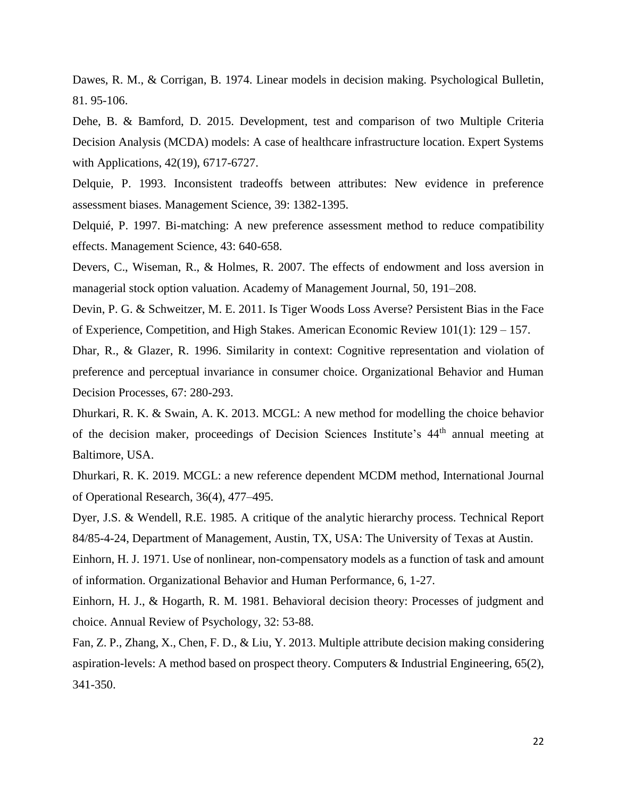Dawes, R. M., & Corrigan, B. 1974. Linear models in decision making. Psychological Bulletin, 81. 95-106.

Dehe, B. & Bamford, D. 2015. Development, test and comparison of two Multiple Criteria Decision Analysis (MCDA) models: A case of healthcare infrastructure location. Expert Systems with Applications, 42(19), 6717-6727.

Delquie, P. 1993. Inconsistent tradeoffs between attributes: New evidence in preference assessment biases. Management Science, 39: 1382-1395.

Delquié, P. 1997. Bi-matching: A new preference assessment method to reduce compatibility effects. Management Science, 43: 640-658.

Devers, C., Wiseman, R., & Holmes, R. 2007. The effects of endowment and loss aversion in managerial stock option valuation. Academy of Management Journal, 50, 191–208.

Devin, P. G. & Schweitzer, M. E. 2011. Is Tiger Woods Loss Averse? Persistent Bias in the Face of Experience, Competition, and High Stakes. American Economic Review 101(1): 129 – 157.

Dhar, R., & Glazer, R. 1996. Similarity in context: Cognitive representation and violation of preference and perceptual invariance in consumer choice. Organizational Behavior and Human Decision Processes, 67: 280-293.

Dhurkari, R. K. & Swain, A. K. 2013. MCGL: A new method for modelling the choice behavior of the decision maker, proceedings of Decision Sciences Institute's 44th annual meeting at Baltimore, USA.

Dhurkari, R. K. 2019. MCGL: a new reference dependent MCDM method, International Journal of Operational Research, 36(4), 477–495.

Dyer, J.S. & Wendell, R.E. 1985. A critique of the analytic hierarchy process. Technical Report 84/85-4-24, Department of Management, Austin, TX, USA: The University of Texas at Austin.

Einhorn, H. J. 1971. Use of nonlinear, non-compensatory models as a function of task and amount of information. Organizational Behavior and Human Performance, 6, 1-27.

Einhorn, H. J., & Hogarth, R. M. 1981. Behavioral decision theory: Processes of judgment and choice. Annual Review of Psychology, 32: 53-88.

Fan, Z. P., Zhang, X., Chen, F. D., & Liu, Y. 2013. Multiple attribute decision making considering aspiration-levels: A method based on prospect theory. Computers & Industrial Engineering, 65(2), 341-350.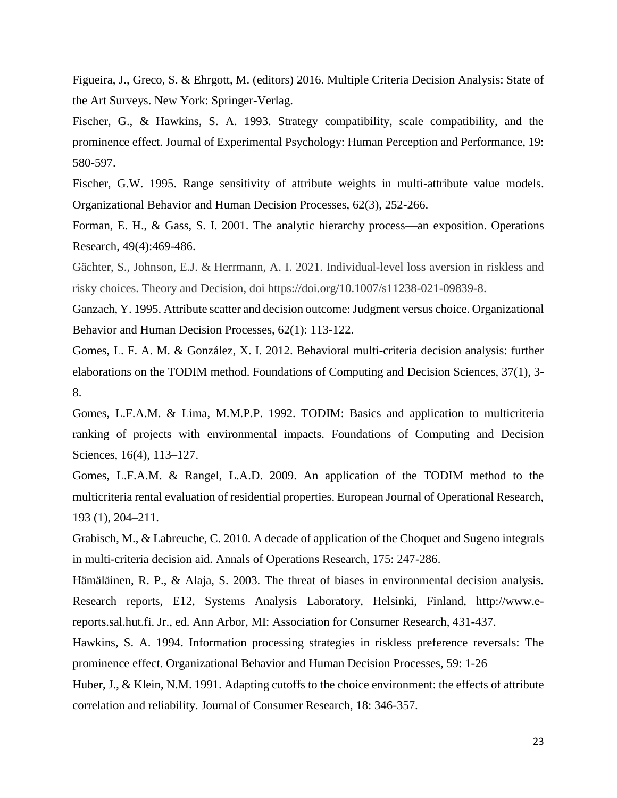Figueira, J., Greco, S. & Ehrgott, M. (editors) 2016. Multiple Criteria Decision Analysis: State of the Art Surveys. New York: Springer-Verlag.

Fischer, G., & Hawkins, S. A. 1993. Strategy compatibility, scale compatibility, and the prominence effect. Journal of Experimental Psychology: Human Perception and Performance, 19: 580-597.

Fischer, G.W. 1995. Range sensitivity of attribute weights in multi-attribute value models. Organizational Behavior and Human Decision Processes, 62(3), 252-266.

Forman, E. H., & Gass, S. I. 2001. The analytic hierarchy process—an exposition. Operations Research, 49(4):469-486.

Gächter, S., Johnson, E.J. & Herrmann, A. I. 2021. Individual-level loss aversion in riskless and risky choices. Theory and Decision, doi https://doi.org/10.1007/s11238-021-09839-8.

Ganzach, Y. 1995. Attribute scatter and decision outcome: Judgment versus choice. Organizational Behavior and Human Decision Processes, 62(1): 113-122.

Gomes, L. F. A. M. & González, X. I. 2012. Behavioral multi-criteria decision analysis: further elaborations on the TODIM method. Foundations of Computing and Decision Sciences, 37(1), 3- 8.

Gomes, L.F.A.M. & Lima, M.M.P.P. 1992. TODIM: Basics and application to multicriteria ranking of projects with environmental impacts. Foundations of Computing and Decision Sciences, 16(4), 113–127.

Gomes, L.F.A.M. & Rangel, L.A.D. 2009. An application of the TODIM method to the multicriteria rental evaluation of residential properties. European Journal of Operational Research, 193 (1), 204–211.

Grabisch, M., & Labreuche, C. 2010. A decade of application of the Choquet and Sugeno integrals in multi-criteria decision aid. Annals of Operations Research, 175: 247-286.

Hämäläinen, R. P., & Alaja, S. 2003. The threat of biases in environmental decision analysis. Research reports, E12, Systems Analysis Laboratory, Helsinki, Finland, http://www.ereports.sal.hut.fi. Jr., ed. Ann Arbor, MI: Association for Consumer Research, 431-437.

Hawkins, S. A. 1994. Information processing strategies in riskless preference reversals: The prominence effect. Organizational Behavior and Human Decision Processes, 59: 1-26

Huber, J., & Klein, N.M. 1991. Adapting cutoffs to the choice environment: the effects of attribute correlation and reliability. Journal of Consumer Research, 18: 346-357.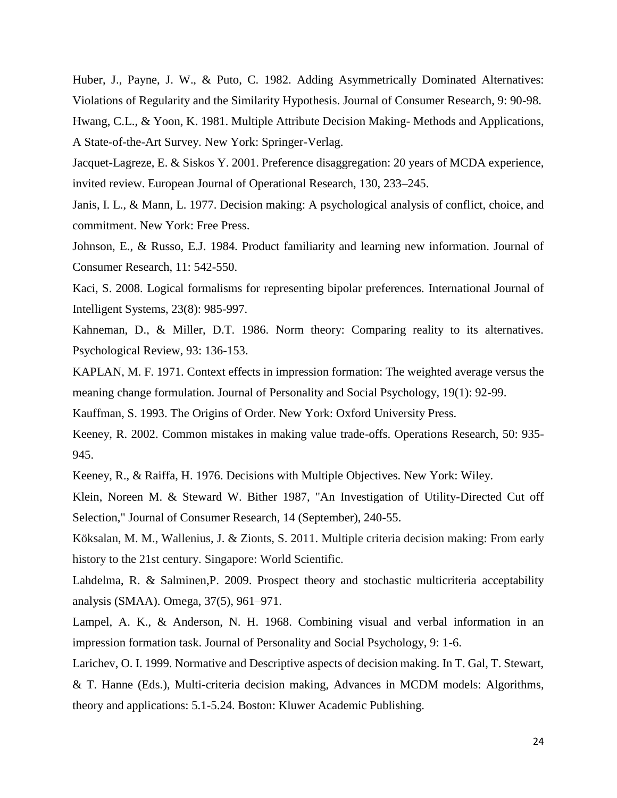Huber, J., Payne, J. W., & Puto, C. 1982. Adding Asymmetrically Dominated Alternatives: Violations of Regularity and the Similarity Hypothesis. Journal of Consumer Research, 9: 90-98. Hwang, C.L., & Yoon, K. 1981. Multiple Attribute Decision Making- Methods and Applications, A State-of-the-Art Survey. New York: Springer-Verlag.

Jacquet-Lagreze, E. & Siskos Y. 2001. Preference disaggregation: 20 years of MCDA experience, invited review. European Journal of Operational Research, 130, 233–245.

Janis, I. L., & Mann, L. 1977. Decision making: A psychological analysis of conflict, choice, and commitment. New York: Free Press.

Johnson, E., & Russo, E.J. 1984. Product familiarity and learning new information. Journal of Consumer Research, 11: 542-550.

Kaci, S. 2008. Logical formalisms for representing bipolar preferences. International Journal of Intelligent Systems, 23(8): 985-997.

Kahneman, D., & Miller, D.T. 1986. Norm theory: Comparing reality to its alternatives. Psychological Review, 93: 136-153.

KAPLAN, M. F. 1971. Context effects in impression formation: The weighted average versus the meaning change formulation. Journal of Personality and Social Psychology, 19(1): 92-99.

Kauffman, S. 1993. The Origins of Order. New York: Oxford University Press.

Keeney, R. 2002. Common mistakes in making value trade-offs. Operations Research, 50: 935- 945.

Keeney, R., & Raiffa, H. 1976. Decisions with Multiple Objectives. New York: Wiley.

Klein, Noreen M. & Steward W. Bither 1987, "An Investigation of Utility-Directed Cut off Selection," Journal of Consumer Research, 14 (September), 240-55.

Köksalan, M. M., Wallenius, J. & Zionts, S. 2011. Multiple criteria decision making: From early history to the 21st century. Singapore: World Scientific.

Lahdelma, R. & Salminen,P. 2009. Prospect theory and stochastic multicriteria acceptability analysis (SMAA). Omega, 37(5), 961–971.

Lampel, A. K., & Anderson, N. H. 1968. Combining visual and verbal information in an impression formation task. Journal of Personality and Social Psychology, 9: 1-6.

Larichev, O. I. 1999. Normative and Descriptive aspects of decision making. In T. Gal, T. Stewart, & T. Hanne (Eds.), Multi-criteria decision making, Advances in MCDM models: Algorithms, theory and applications: 5.1-5.24. Boston: Kluwer Academic Publishing.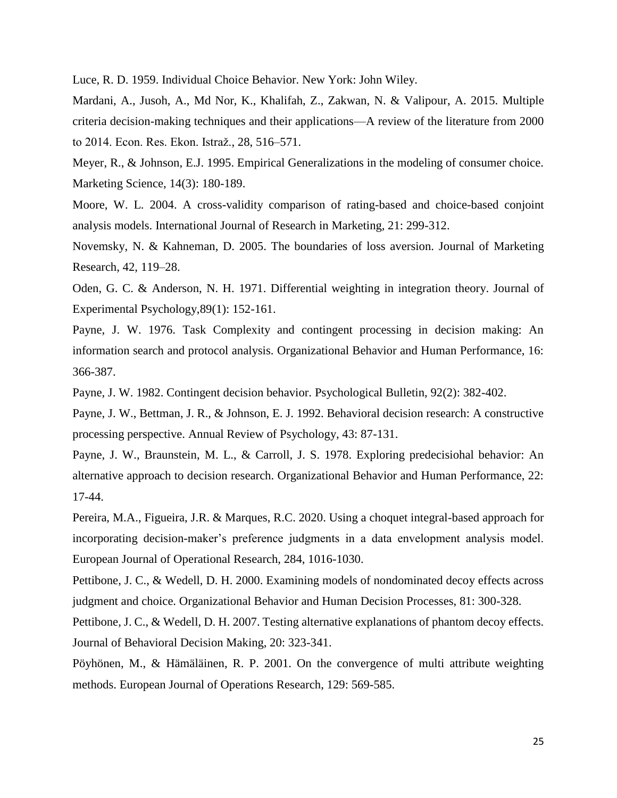Luce, R. D. 1959. Individual Choice Behavior. New York: John Wiley.

Mardani, A., Jusoh, A., Md Nor, K., Khalifah, Z., Zakwan, N. & Valipour, A. 2015. Multiple criteria decision-making techniques and their applications—A review of the literature from 2000 to 2014. Econ. Res. Ekon. Istraž., 28, 516–571.

Meyer, R., & Johnson, E.J. 1995. Empirical Generalizations in the modeling of consumer choice. Marketing Science, 14(3): 180-189.

Moore, W. L. 2004. A cross-validity comparison of rating-based and choice-based conjoint analysis models. International Journal of Research in Marketing, 21: 299-312.

Novemsky, N. & Kahneman, D. 2005. The boundaries of loss aversion. Journal of Marketing Research, 42, 119–28.

Oden, G. C. & Anderson, N. H. 1971. Differential weighting in integration theory. Journal of Experimental Psychology,89(1): 152-161.

Payne, J. W. 1976. Task Complexity and contingent processing in decision making: An information search and protocol analysis. Organizational Behavior and Human Performance, 16: 366-387.

Payne, J. W. 1982. Contingent decision behavior. Psychological Bulletin, 92(2): 382-402.

Payne, J. W., Bettman, J. R., & Johnson, E. J. 1992. Behavioral decision research: A constructive processing perspective. Annual Review of Psychology, 43: 87-131.

Payne, J. W., Braunstein, M. L., & Carroll, J. S. 1978. Exploring predecisiohal behavior: An alternative approach to decision research. Organizational Behavior and Human Performance, 22: 17-44.

Pereira, M.A., Figueira, J.R. & Marques, R.C. 2020. Using a choquet integral-based approach for incorporating decision-maker's preference judgments in a data envelopment analysis model. European Journal of Operational Research, 284, 1016-1030.

Pettibone, J. C., & Wedell, D. H. 2000. Examining models of nondominated decoy effects across judgment and choice. Organizational Behavior and Human Decision Processes, 81: 300-328.

Pettibone, J. C., & Wedell, D. H. 2007. Testing alternative explanations of phantom decoy effects. Journal of Behavioral Decision Making, 20: 323-341.

Pöyhönen, M., & Hämäläinen, R. P. 2001. On the convergence of multi attribute weighting methods. European Journal of Operations Research, 129: 569-585.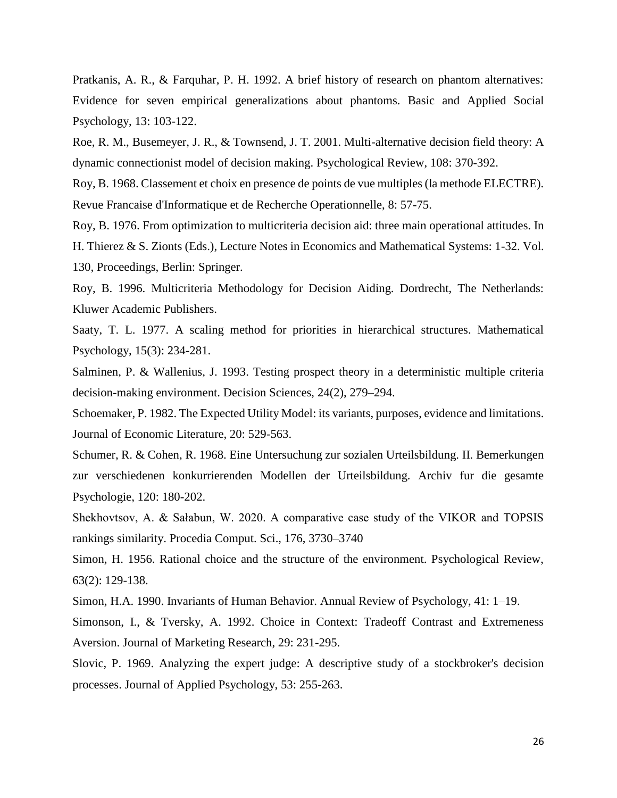Pratkanis, A. R., & Farquhar, P. H. 1992. A brief history of research on phantom alternatives: Evidence for seven empirical generalizations about phantoms. Basic and Applied Social Psychology, 13: 103-122.

Roe, R. M., Busemeyer, J. R., & Townsend, J. T. 2001. Multi-alternative decision field theory: A dynamic connectionist model of decision making. Psychological Review, 108: 370-392.

Roy, B. 1968. Classement et choix en presence de points de vue multiples (la methode ELECTRE). Revue Francaise d'Informatique et de Recherche Operationnelle, 8: 57-75.

Roy, B. 1976. From optimization to multicriteria decision aid: three main operational attitudes. In H. Thierez & S. Zionts (Eds.), Lecture Notes in Economics and Mathematical Systems: 1-32. Vol. 130, Proceedings, Berlin: Springer.

Roy, B. 1996. Multicriteria Methodology for Decision Aiding. Dordrecht, The Netherlands: Kluwer Academic Publishers.

Saaty, T. L. 1977. A scaling method for priorities in hierarchical structures. Mathematical Psychology, 15(3): 234-281.

Salminen, P. & Wallenius, J. 1993. Testing prospect theory in a deterministic multiple criteria decision-making environment. Decision Sciences, 24(2), 279–294.

Schoemaker, P. 1982. The Expected Utility Model: its variants, purposes, evidence and limitations. Journal of Economic Literature, 20: 529-563.

Schumer, R. & Cohen, R. 1968. Eine Untersuchung zur sozialen Urteilsbildung. II. Bemerkungen zur verschiedenen konkurrierenden Modellen der Urteilsbildung. Archiv fur die gesamte Psychologie, 120: 180-202.

Shekhovtsov, A. & Sałabun, W. 2020. A comparative case study of the VIKOR and TOPSIS rankings similarity. Procedia Comput. Sci., 176, 3730–3740

Simon, H. 1956. Rational choice and the structure of the environment. Psychological Review, 63(2): 129-138.

Simon, H.A. 1990. Invariants of Human Behavior. Annual Review of Psychology, 41: 1–19.

Simonson, I., & Tversky, A. 1992. Choice in Context: Tradeoff Contrast and Extremeness Aversion. Journal of Marketing Research, 29: 231-295.

Slovic, P. 1969. Analyzing the expert judge: A descriptive study of a stockbroker's decision processes. Journal of Applied Psychology, 53: 255-263.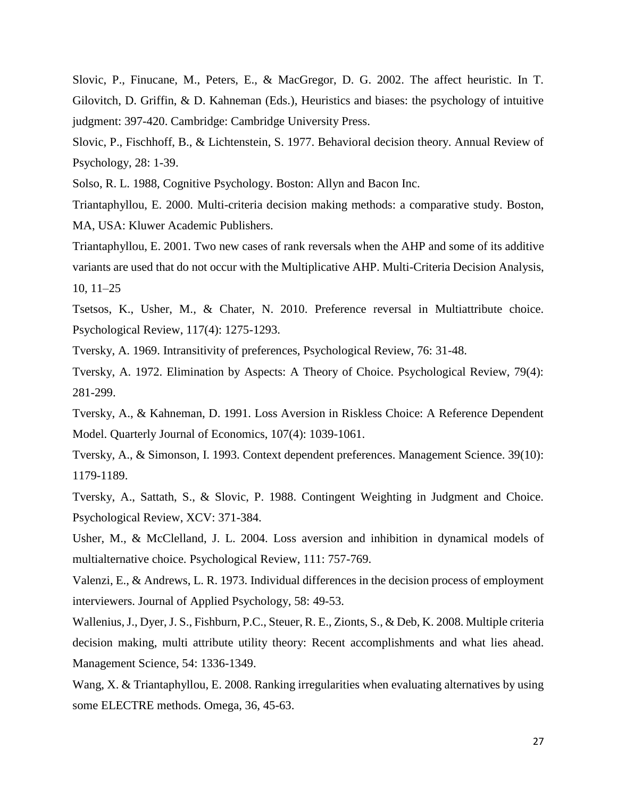Slovic, P., Finucane, M., Peters, E., & MacGregor, D. G. 2002. The affect heuristic. In T. Gilovitch, D. Griffin, & D. Kahneman (Eds.), Heuristics and biases: the psychology of intuitive judgment: 397-420. Cambridge: Cambridge University Press.

Slovic, P., Fischhoff, B., & Lichtenstein, S. 1977. Behavioral decision theory. Annual Review of Psychology, 28: 1-39.

Solso, R. L. 1988, Cognitive Psychology. Boston: Allyn and Bacon Inc.

Triantaphyllou, E. 2000. Multi-criteria decision making methods: a comparative study. Boston, MA, USA: Kluwer Academic Publishers.

Triantaphyllou, E. 2001. Two new cases of rank reversals when the AHP and some of its additive variants are used that do not occur with the Multiplicative AHP. Multi-Criteria Decision Analysis, 10, 11–25

Tsetsos, K., Usher, M., & Chater, N. 2010. Preference reversal in Multiattribute choice. Psychological Review, 117(4): 1275-1293.

Tversky, A. 1969. Intransitivity of preferences, Psychological Review, 76: 31-48.

Tversky, A. 1972. Elimination by Aspects: A Theory of Choice. Psychological Review, 79(4): 281-299.

Tversky, A., & Kahneman, D. 1991. Loss Aversion in Riskless Choice: A Reference Dependent Model. Quarterly Journal of Economics, 107(4): 1039-1061.

Tversky, A., & Simonson, I. 1993. Context dependent preferences. Management Science. 39(10): 1179-1189.

Tversky, A., Sattath, S., & Slovic, P. 1988. Contingent Weighting in Judgment and Choice. Psychological Review, XCV: 371-384.

Usher, M., & McClelland, J. L. 2004. Loss aversion and inhibition in dynamical models of multialternative choice. Psychological Review, 111: 757-769.

Valenzi, E., & Andrews, L. R. 1973. Individual differences in the decision process of employment interviewers. Journal of Applied Psychology, 58: 49-53.

Wallenius, J., Dyer, J. S., Fishburn, P.C., Steuer, R. E., Zionts, S., & Deb, K. 2008. Multiple criteria decision making, multi attribute utility theory: Recent accomplishments and what lies ahead. Management Science, 54: 1336-1349.

Wang, X. & Triantaphyllou, E. 2008. Ranking irregularities when evaluating alternatives by using some ELECTRE methods. Omega, 36, 45-63.